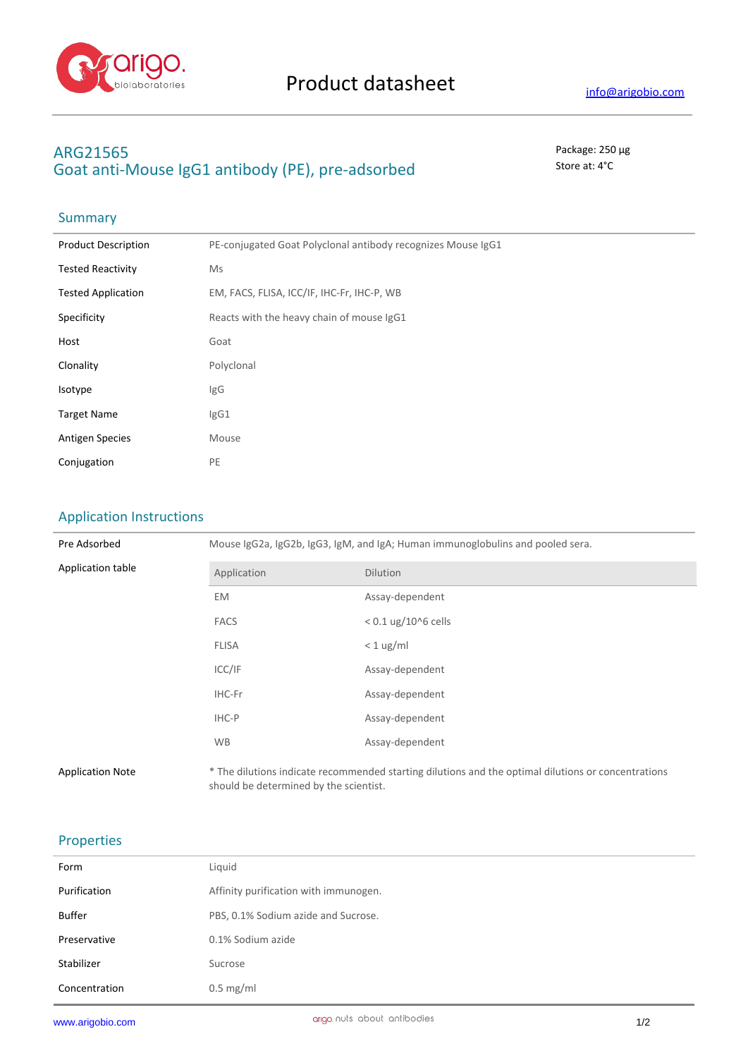

# **ARG21565** Package: 250 μg Goat anti-Mouse IgG1 antibody (PE), pre-adsorbed stated state at: 4°C

# Summary

| <b>Product Description</b> | PE-conjugated Goat Polyclonal antibody recognizes Mouse IgG1 |  |
|----------------------------|--------------------------------------------------------------|--|
| <b>Tested Reactivity</b>   | Ms                                                           |  |
| <b>Tested Application</b>  | EM, FACS, FLISA, ICC/IF, IHC-Fr, IHC-P, WB                   |  |
| Specificity                | Reacts with the heavy chain of mouse IgG1                    |  |
| Host                       | Goat                                                         |  |
| Clonality                  | Polyclonal                                                   |  |
| Isotype                    | IgG                                                          |  |
| <b>Target Name</b>         | IgG1                                                         |  |
| <b>Antigen Species</b>     | Mouse                                                        |  |
| Conjugation                | PE                                                           |  |
|                            |                                                              |  |

## Application Instructions

| Pre Adsorbed            | Mouse IgG2a, IgG2b, IgG3, IgM, and IgA; Human immunoglobulins and pooled sera. |                                                                                                     |  |
|-------------------------|--------------------------------------------------------------------------------|-----------------------------------------------------------------------------------------------------|--|
| Application table       | Application                                                                    | <b>Dilution</b>                                                                                     |  |
|                         | EM.                                                                            | Assay-dependent                                                                                     |  |
|                         | <b>FACS</b>                                                                    | $< 0.1$ ug/10^6 cells                                                                               |  |
|                         | <b>FLISA</b>                                                                   | $< 1$ ug/ml                                                                                         |  |
|                         | ICC/IF                                                                         | Assay-dependent                                                                                     |  |
|                         | IHC-Fr                                                                         | Assay-dependent                                                                                     |  |
|                         | IHC-P                                                                          | Assay-dependent                                                                                     |  |
|                         | <b>WB</b>                                                                      | Assay-dependent                                                                                     |  |
| <b>Application Note</b> | should be determined by the scientist.                                         | * The dilutions indicate recommended starting dilutions and the optimal dilutions or concentrations |  |

### Properties

| Form          | Liquid                                |
|---------------|---------------------------------------|
| Purification  | Affinity purification with immunogen. |
| Buffer        | PBS, 0.1% Sodium azide and Sucrose.   |
| Preservative  | 0.1% Sodium azide                     |
| Stabilizer    | Sucrose                               |
| Concentration | $0.5 \text{ mg/ml}$                   |